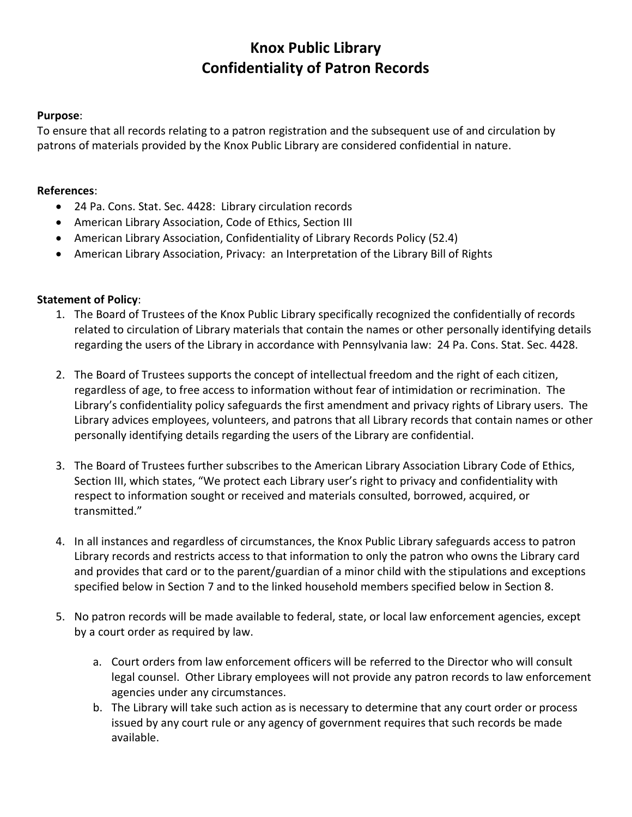# **Knox Public Library Confidentiality of Patron Records**

#### **Purpose**:

To ensure that all records relating to a patron registration and the subsequent use of and circulation by patrons of materials provided by the Knox Public Library are considered confidential in nature.

#### **References**:

- 24 Pa. Cons. Stat. Sec. 4428: Library circulation records
- American Library Association, Code of Ethics, Section III
- American Library Association, Confidentiality of Library Records Policy (52.4)
- American Library Association, Privacy: an Interpretation of the Library Bill of Rights

#### **Statement of Policy**:

- 1. The Board of Trustees of the Knox Public Library specifically recognized the confidentially of records related to circulation of Library materials that contain the names or other personally identifying details regarding the users of the Library in accordance with Pennsylvania law: 24 Pa. Cons. Stat. Sec. 4428.
- 2. The Board of Trustees supports the concept of intellectual freedom and the right of each citizen, regardless of age, to free access to information without fear of intimidation or recrimination. The Library's confidentiality policy safeguards the first amendment and privacy rights of Library users. The Library advices employees, volunteers, and patrons that all Library records that contain names or other personally identifying details regarding the users of the Library are confidential.
- 3. The Board of Trustees further subscribes to the American Library Association Library Code of Ethics, Section III, which states, "We protect each Library user's right to privacy and confidentiality with respect to information sought or received and materials consulted, borrowed, acquired, or transmitted."
- 4. In all instances and regardless of circumstances, the Knox Public Library safeguards access to patron Library records and restricts access to that information to only the patron who owns the Library card and provides that card or to the parent/guardian of a minor child with the stipulations and exceptions specified below in Section 7 and to the linked household members specified below in Section 8.
- 5. No patron records will be made available to federal, state, or local law enforcement agencies, except by a court order as required by law.
	- a. Court orders from law enforcement officers will be referred to the Director who will consult legal counsel. Other Library employees will not provide any patron records to law enforcement agencies under any circumstances.
	- b. The Library will take such action as is necessary to determine that any court order or process issued by any court rule or any agency of government requires that such records be made available.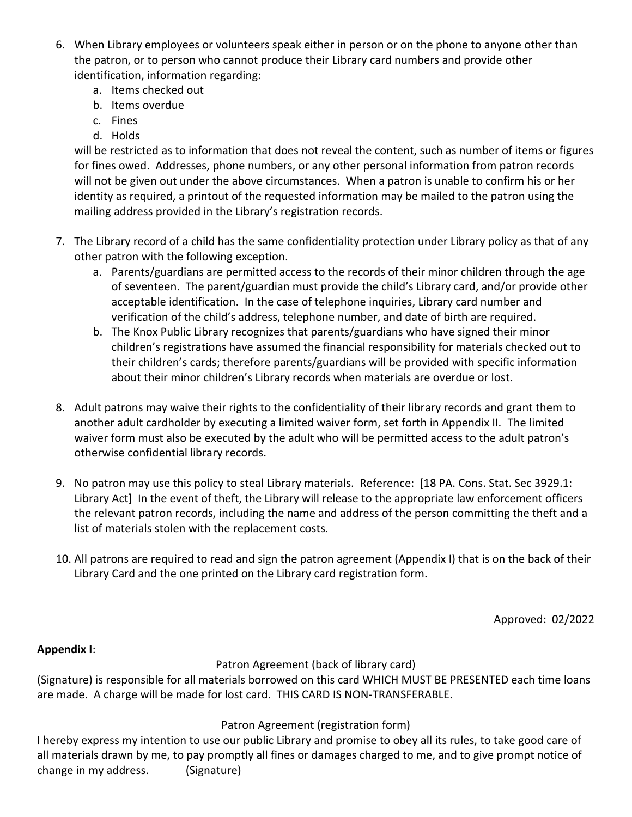- 6. When Library employees or volunteers speak either in person or on the phone to anyone other than the patron, or to person who cannot produce their Library card numbers and provide other identification, information regarding:
	- a. Items checked out
	- b. Items overdue
	- c. Fines
	- d. Holds

will be restricted as to information that does not reveal the content, such as number of items or figures for fines owed. Addresses, phone numbers, or any other personal information from patron records will not be given out under the above circumstances. When a patron is unable to confirm his or her identity as required, a printout of the requested information may be mailed to the patron using the mailing address provided in the Library's registration records.

- 7. The Library record of a child has the same confidentiality protection under Library policy as that of any other patron with the following exception.
	- a. Parents/guardians are permitted access to the records of their minor children through the age of seventeen. The parent/guardian must provide the child's Library card, and/or provide other acceptable identification. In the case of telephone inquiries, Library card number and verification of the child's address, telephone number, and date of birth are required.
	- b. The Knox Public Library recognizes that parents/guardians who have signed their minor children's registrations have assumed the financial responsibility for materials checked out to their children's cards; therefore parents/guardians will be provided with specific information about their minor children's Library records when materials are overdue or lost.
- 8. Adult patrons may waive their rights to the confidentiality of their library records and grant them to another adult cardholder by executing a limited waiver form, set forth in Appendix II. The limited waiver form must also be executed by the adult who will be permitted access to the adult patron's otherwise confidential library records.
- 9. No patron may use this policy to steal Library materials. Reference: [18 PA. Cons. Stat. Sec 3929.1: Library Act] In the event of theft, the Library will release to the appropriate law enforcement officers the relevant patron records, including the name and address of the person committing the theft and a list of materials stolen with the replacement costs.
- 10. All patrons are required to read and sign the patron agreement (Appendix I) that is on the back of their Library Card and the one printed on the Library card registration form.

Approved: 02/2022

## **Appendix I**:

## Patron Agreement (back of library card)

(Signature) is responsible for all materials borrowed on this card WHICH MUST BE PRESENTED each time loans are made. A charge will be made for lost card. THIS CARD IS NON-TRANSFERABLE.

## Patron Agreement (registration form)

I hereby express my intention to use our public Library and promise to obey all its rules, to take good care of all materials drawn by me, to pay promptly all fines or damages charged to me, and to give prompt notice of change in my address. (Signature)